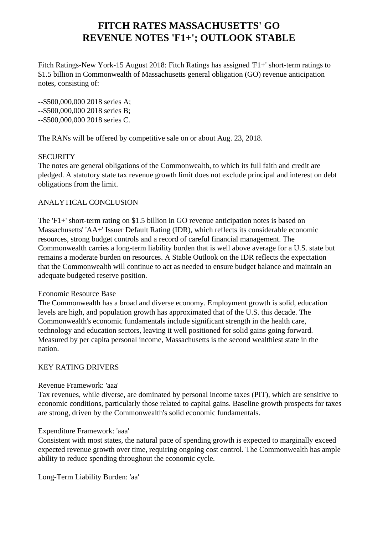# **FITCH RATES MASSACHUSETTS' GO REVENUE NOTES 'F1+'; OUTLOOK STABLE**

 Fitch Ratings-New York-15 August 2018: Fitch Ratings has assigned 'F1+' short-term ratings to \$1.5 billion in Commonwealth of Massachusetts general obligation (GO) revenue anticipation notes, consisting of:

 --\$500,000,000 2018 series A; --\$500,000,000 2018 series B; --\$500,000,000 2018 series C.

The RANs will be offered by competitive sale on or about Aug. 23, 2018.

## **SECURITY**

 The notes are general obligations of the Commonwealth, to which its full faith and credit are pledged. A statutory state tax revenue growth limit does not exclude principal and interest on debt obligations from the limit.

## ANALYTICAL CONCLUSION

 The 'F1+' short-term rating on \$1.5 billion in GO revenue anticipation notes is based on Massachusetts' 'AA+' Issuer Default Rating (IDR), which reflects its considerable economic resources, strong budget controls and a record of careful financial management. The Commonwealth carries a long-term liability burden that is well above average for a U.S. state but remains a moderate burden on resources. A Stable Outlook on the IDR reflects the expectation that the Commonwealth will continue to act as needed to ensure budget balance and maintain an adequate budgeted reserve position.

#### Economic Resource Base

 The Commonwealth has a broad and diverse economy. Employment growth is solid, education levels are high, and population growth has approximated that of the U.S. this decade. The Commonwealth's economic fundamentals include significant strength in the health care, technology and education sectors, leaving it well positioned for solid gains going forward. Measured by per capita personal income, Massachusetts is the second wealthiest state in the nation.

## KEY RATING DRIVERS

#### Revenue Framework: 'aaa'

 Tax revenues, while diverse, are dominated by personal income taxes (PIT), which are sensitive to economic conditions, particularly those related to capital gains. Baseline growth prospects for taxes are strong, driven by the Commonwealth's solid economic fundamentals.

#### Expenditure Framework: 'aaa'

 Consistent with most states, the natural pace of spending growth is expected to marginally exceed expected revenue growth over time, requiring ongoing cost control. The Commonwealth has ample ability to reduce spending throughout the economic cycle.

Long-Term Liability Burden: 'aa'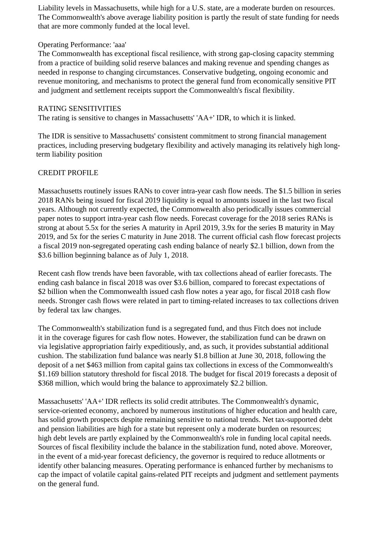Liability levels in Massachusetts, while high for a U.S. state, are a moderate burden on resources. The Commonwealth's above average liability position is partly the result of state funding for needs that are more commonly funded at the local level.

## Operating Performance: 'aaa'

 The Commonwealth has exceptional fiscal resilience, with strong gap-closing capacity stemming from a practice of building solid reserve balances and making revenue and spending changes as needed in response to changing circumstances. Conservative budgeting, ongoing economic and revenue monitoring, and mechanisms to protect the general fund from economically sensitive PIT and judgment and settlement receipts support the Commonwealth's fiscal flexibility.

### RATING SENSITIVITIES

The rating is sensitive to changes in Massachusetts' 'AA+' IDR, to which it is linked.

 The IDR is sensitive to Massachusetts' consistent commitment to strong financial management practices, including preserving budgetary flexibility and actively managing its relatively high longterm liability position

## CREDIT PROFILE

 Massachusetts routinely issues RANs to cover intra-year cash flow needs. The \$1.5 billion in series 2018 RANs being issued for fiscal 2019 liquidity is equal to amounts issued in the last two fiscal years. Although not currently expected, the Commonwealth also periodically issues commercial paper notes to support intra-year cash flow needs. Forecast coverage for the 2018 series RANs is strong at about 5.5x for the series A maturity in April 2019, 3.9x for the series B maturity in May 2019, and 5x for the series C maturity in June 2018. The current official cash flow forecast projects a fiscal 2019 non-segregated operating cash ending balance of nearly \$2.1 billion, down from the \$3.6 billion beginning balance as of July 1, 2018.

 Recent cash flow trends have been favorable, with tax collections ahead of earlier forecasts. The ending cash balance in fiscal 2018 was over \$3.6 billion, compared to forecast expectations of \$2 billion when the Commonwealth issued cash flow notes a year ago, for fiscal 2018 cash flow needs. Stronger cash flows were related in part to timing-related increases to tax collections driven by federal tax law changes.

 The Commonwealth's stabilization fund is a segregated fund, and thus Fitch does not include it in the coverage figures for cash flow notes. However, the stabilization fund can be drawn on via legislative appropriation fairly expeditiously, and, as such, it provides substantial additional cushion. The stabilization fund balance was nearly \$1.8 billion at June 30, 2018, following the deposit of a net \$463 million from capital gains tax collections in excess of the Commonwealth's \$1.169 billion statutory threshold for fiscal 2018. The budget for fiscal 2019 forecasts a deposit of \$368 million, which would bring the balance to approximately \$2.2 billion.

 Massachusetts' 'AA+' IDR reflects its solid credit attributes. The Commonwealth's dynamic, service-oriented economy, anchored by numerous institutions of higher education and health care, has solid growth prospects despite remaining sensitive to national trends. Net tax-supported debt and pension liabilities are high for a state but represent only a moderate burden on resources; high debt levels are partly explained by the Commonwealth's role in funding local capital needs. Sources of fiscal flexibility include the balance in the stabilization fund, noted above. Moreover, in the event of a mid-year forecast deficiency, the governor is required to reduce allotments or identify other balancing measures. Operating performance is enhanced further by mechanisms to cap the impact of volatile capital gains-related PIT receipts and judgment and settlement payments on the general fund.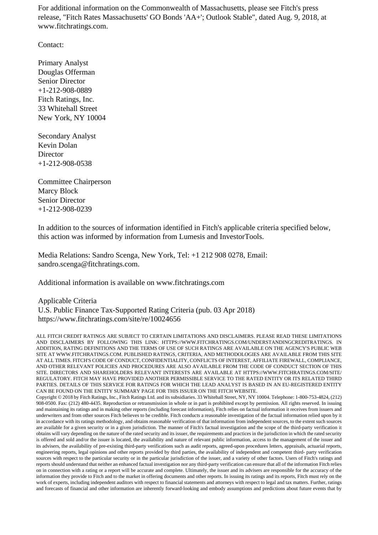For additional information on the Commonwealth of Massachusetts, please see Fitch's press release, "Fitch Rates Massachusetts' GO Bonds 'AA+'; Outlook Stable", dated Aug. 9, 2018, at www.fitchratings.com.

Contact:

 Primary Analyst Douglas Offerman Senior Director +1-212-908-0889 Fitch Ratings, Inc. 33 Whitehall Street New York, NY 10004

 Secondary Analyst Kevin Dolan **Director** +1-212-908-0538

 Committee Chairperson Marcy Block Senior Director +1-212-908-0239

 In addition to the sources of information identified in Fitch's applicable criteria specified below, this action was informed by information from Lumesis and InvestorTools.

 Media Relations: Sandro Scenga, New York, Tel: +1 212 908 0278, Email: sandro.scenga@fitchratings.com.

Additional information is available on www.fitchratings.com

 Applicable Criteria U.S. Public Finance Tax-Supported Rating Criteria (pub. 03 Apr 2018) https://www.fitchratings.com/site/re/10024656

ALL FITCH CREDIT RATINGS ARE SUBJECT TO CERTAIN LIMITATIONS AND DISCLAIMERS. PLEASE READ THESE LIMITATIONS AND DISCLAIMERS BY FOLLOWING THIS LINK: HTTPS://WWW.FITCHRATINGS.COM/UNDERSTANDINGCREDITRATINGS. IN ADDITION, RATING DEFINITIONS AND THE TERMS OF USE OF SUCH RATINGS ARE AVAILABLE ON THE AGENCY'S PUBLIC WEB SITE AT WWW.FITCHRATINGS.COM. PUBLISHED RATINGS, CRITERIA, AND METHODOLOGIES ARE AVAILABLE FROM THIS SITE AT ALL TIMES. FITCH'S CODE OF CONDUCT, CONFIDENTIALITY, CONFLICTS OF INTEREST, AFFILIATE FIREWALL, COMPLIANCE, AND OTHER RELEVANT POLICIES AND PROCEDURES ARE ALSO AVAILABLE FROM THE CODE OF CONDUCT SECTION OF THIS SITE. DIRECTORS AND SHAREHOLDERS RELEVANT INTERESTS ARE AVAILABLE AT HTTPS://WWW.FITCHRATINGS.COM/SITE/ REGULATORY. FITCH MAY HAVE PROVIDED ANOTHER PERMISSIBLE SERVICE TO THE RATED ENTITY OR ITS RELATED THIRD PARTIES. DETAILS OF THIS SERVICE FOR RATINGS FOR WHICH THE LEAD ANALYST IS BASED IN AN EU-REGISTERED ENTITY CAN BE FOUND ON THE ENTITY SUMMARY PAGE FOR THIS ISSUER ON THE FITCH WEBSITE. Copyright © 2018 by Fitch Ratings, Inc., Fitch Ratings Ltd. and its subsidiaries. 33 Whitehall Street, NY, NY 10004. Telephone: 1-800-753-4824, (212) 908-0500. Fax: (212) 480-4435. Reproduction or retransmission in whole or in part is prohibited except by permission. All rights reserved. In issuing and maintaining its ratings and in making other reports (including forecast information), Fitch relies on factual information it receives from issuers and underwriters and from other sources Fitch believes to be credible. Fitch conducts a reasonable investigation of the factual information relied upon by it in accordance with its ratings methodology, and obtains reasonable verification of that information from independent sources, to the extent such sources are available for a given security or in a given jurisdiction. The manner of Fitch's factual investigation and the scope of the third-party verification it obtains will vary depending on the nature of the rated security and its issuer, the requirements and practices in the jurisdiction in which the rated security is offered and sold and/or the issuer is located, the availability and nature of relevant public information, access to the management of the issuer and its advisers, the availability of pre-existing third-party verifications such as audit reports, agreed-upon procedures letters, appraisals, actuarial reports, engineering reports, legal opinions and other reports provided by third parties, the availability of independent and competent third- party verification sources with respect to the particular security or in the particular jurisdiction of the issuer, and a variety of other factors. Users of Fitch's ratings and reports should understand that neither an enhanced factual investigation nor any third-party verification can ensure that all of the information Fitch relies on in connection with a rating or a report will be accurate and complete. Ultimately, the issuer and its advisers are responsible for the accuracy of the information they provide to Fitch and to the market in offering documents and other reports. In issuing its ratings and its reports, Fitch must rely on the work of experts, including independent auditors with respect to financial statements and attorneys with respect to legal and tax matters. Further, ratings and forecasts of financial and other information are inherently forward-looking and embody assumptions and predictions about future events that by